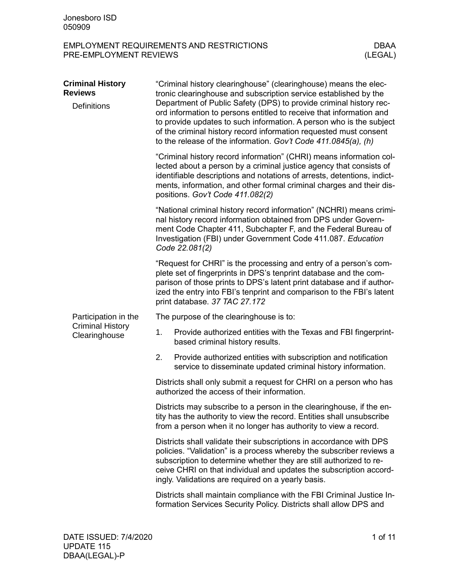| <b>Criminal History</b><br><b>Reviews</b> | "Criminal history clearinghouse" (clearinghouse) means the elec-<br>tronic clearinghouse and subscription service established by the                                                                                                                                                                                                                    |  |  |  |  |
|-------------------------------------------|---------------------------------------------------------------------------------------------------------------------------------------------------------------------------------------------------------------------------------------------------------------------------------------------------------------------------------------------------------|--|--|--|--|
| <b>Definitions</b>                        | Department of Public Safety (DPS) to provide criminal history rec-<br>ord information to persons entitled to receive that information and<br>to provide updates to such information. A person who is the subject<br>of the criminal history record information requested must consent<br>to the release of the information. Gov't Code 411.0845(a), (h) |  |  |  |  |
|                                           | "Criminal history record information" (CHRI) means information col-<br>lected about a person by a criminal justice agency that consists of<br>identifiable descriptions and notations of arrests, detentions, indict-<br>ments, information, and other formal criminal charges and their dis-<br>positions. Gov't Code 411.082(2)                       |  |  |  |  |
|                                           | "National criminal history record information" (NCHRI) means crimi-<br>nal history record information obtained from DPS under Govern-<br>ment Code Chapter 411, Subchapter F, and the Federal Bureau of<br>Investigation (FBI) under Government Code 411.087. Education<br>Code 22.081(2)                                                               |  |  |  |  |
|                                           | "Request for CHRI" is the processing and entry of a person's com-<br>plete set of fingerprints in DPS's tenprint database and the com-<br>parison of those prints to DPS's latent print database and if author-<br>ized the entry into FBI's tenprint and comparison to the FBI's latent<br>print database. 37 TAC 27.172                               |  |  |  |  |
| Participation in the                      | The purpose of the clearinghouse is to:                                                                                                                                                                                                                                                                                                                 |  |  |  |  |
| <b>Criminal History</b><br>Clearinghouse  | 1.<br>Provide authorized entities with the Texas and FBI fingerprint-<br>based criminal history results.                                                                                                                                                                                                                                                |  |  |  |  |
|                                           | 2.<br>Provide authorized entities with subscription and notification<br>service to disseminate updated criminal history information.                                                                                                                                                                                                                    |  |  |  |  |
|                                           | Districts shall only submit a request for CHRI on a person who has<br>authorized the access of their information.                                                                                                                                                                                                                                       |  |  |  |  |
|                                           | Districts may subscribe to a person in the clearinghouse, if the en-<br>tity has the authority to view the record. Entities shall unsubscribe<br>from a person when it no longer has authority to view a record.                                                                                                                                        |  |  |  |  |
|                                           | Districts shall validate their subscriptions in accordance with DPS<br>policies. "Validation" is a process whereby the subscriber reviews a<br>subscription to determine whether they are still authorized to re-<br>ceive CHRI on that individual and updates the subscription accord-<br>ingly. Validations are required on a yearly basis.           |  |  |  |  |
|                                           | Districts shall maintain compliance with the FBI Criminal Justice In-<br>formation Services Security Policy. Districts shall allow DPS and                                                                                                                                                                                                              |  |  |  |  |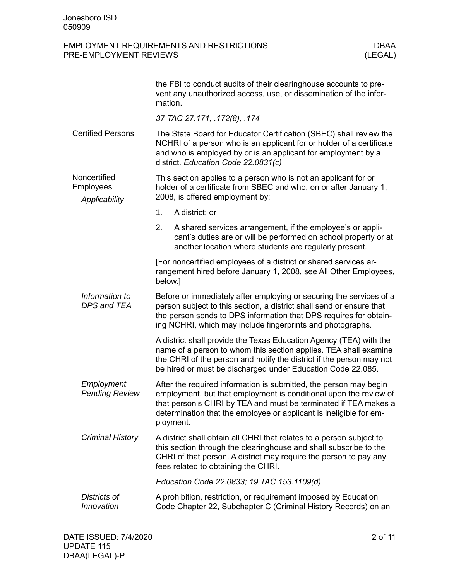|                                            | the FBI to conduct audits of their clearinghouse accounts to pre-<br>vent any unauthorized access, use, or dissemination of the infor-<br>mation.                                                                                                                                            |  |  |  |
|--------------------------------------------|----------------------------------------------------------------------------------------------------------------------------------------------------------------------------------------------------------------------------------------------------------------------------------------------|--|--|--|
|                                            | 37 TAC 27.171, .172(8), .174                                                                                                                                                                                                                                                                 |  |  |  |
| <b>Certified Persons</b>                   | The State Board for Educator Certification (SBEC) shall review the<br>NCHRI of a person who is an applicant for or holder of a certificate<br>and who is employed by or is an applicant for employment by a<br>district. Education Code 22.0831(c)                                           |  |  |  |
| Noncertified<br>Employees<br>Applicability | This section applies to a person who is not an applicant for or<br>holder of a certificate from SBEC and who, on or after January 1,<br>2008, is offered employment by:                                                                                                                      |  |  |  |
|                                            | 1.<br>A district; or                                                                                                                                                                                                                                                                         |  |  |  |
|                                            | 2.<br>A shared services arrangement, if the employee's or appli-<br>cant's duties are or will be performed on school property or at<br>another location where students are regularly present.                                                                                                |  |  |  |
|                                            | [For noncertified employees of a district or shared services ar-<br>rangement hired before January 1, 2008, see All Other Employees,<br>below.]                                                                                                                                              |  |  |  |
| Information to<br><b>DPS and TEA</b>       | Before or immediately after employing or securing the services of a<br>person subject to this section, a district shall send or ensure that<br>the person sends to DPS information that DPS requires for obtain-<br>ing NCHRI, which may include fingerprints and photographs.               |  |  |  |
|                                            | A district shall provide the Texas Education Agency (TEA) with the<br>name of a person to whom this section applies. TEA shall examine<br>the CHRI of the person and notify the district if the person may not<br>be hired or must be discharged under Education Code 22.085.                |  |  |  |
| Employment<br><b>Pending Review</b>        | After the required information is submitted, the person may begin<br>employment, but that employment is conditional upon the review of<br>that person's CHRI by TEA and must be terminated if TEA makes a<br>determination that the employee or applicant is ineligible for em-<br>ployment. |  |  |  |
| Criminal History                           | A district shall obtain all CHRI that relates to a person subject to<br>this section through the clearinghouse and shall subscribe to the<br>CHRI of that person. A district may require the person to pay any<br>fees related to obtaining the CHRI.                                        |  |  |  |
|                                            | Education Code 22.0833; 19 TAC 153.1109(d)                                                                                                                                                                                                                                                   |  |  |  |
| Districts of<br>Innovation                 | A prohibition, restriction, or requirement imposed by Education<br>Code Chapter 22, Subchapter C (Criminal History Records) on an                                                                                                                                                            |  |  |  |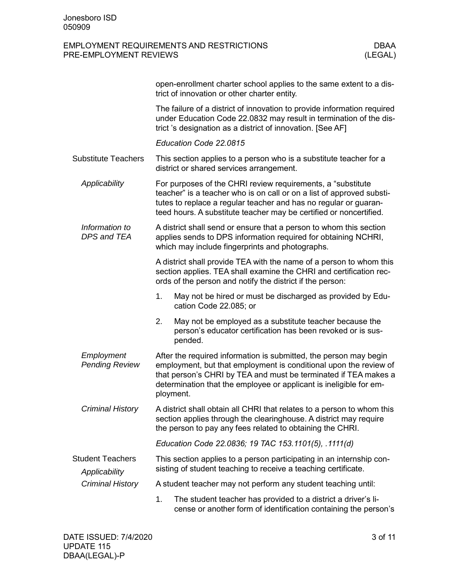|                                          | open-enrollment charter school applies to the same extent to a dis-<br>trict of innovation or other charter entity.                                                                                                                                                                          |  |  |  |  |
|------------------------------------------|----------------------------------------------------------------------------------------------------------------------------------------------------------------------------------------------------------------------------------------------------------------------------------------------|--|--|--|--|
|                                          | The failure of a district of innovation to provide information required<br>under Education Code 22.0832 may result in termination of the dis-<br>trict 's designation as a district of innovation. [See AF]                                                                                  |  |  |  |  |
|                                          | Education Code 22.0815                                                                                                                                                                                                                                                                       |  |  |  |  |
| <b>Substitute Teachers</b>               | This section applies to a person who is a substitute teacher for a<br>district or shared services arrangement.                                                                                                                                                                               |  |  |  |  |
| Applicability                            | For purposes of the CHRI review requirements, a "substitute"<br>teacher" is a teacher who is on call or on a list of approved substi-<br>tutes to replace a regular teacher and has no regular or guaran-<br>teed hours. A substitute teacher may be certified or noncertified.              |  |  |  |  |
| Information to<br><b>DPS and TEA</b>     | A district shall send or ensure that a person to whom this section<br>applies sends to DPS information required for obtaining NCHRI,<br>which may include fingerprints and photographs.                                                                                                      |  |  |  |  |
|                                          | A district shall provide TEA with the name of a person to whom this<br>section applies. TEA shall examine the CHRI and certification rec-<br>ords of the person and notify the district if the person:                                                                                       |  |  |  |  |
|                                          | May not be hired or must be discharged as provided by Edu-<br>1.<br>cation Code 22.085; or                                                                                                                                                                                                   |  |  |  |  |
|                                          | 2.<br>May not be employed as a substitute teacher because the<br>person's educator certification has been revoked or is sus-<br>pended.                                                                                                                                                      |  |  |  |  |
| Employment<br><b>Pending Review</b>      | After the required information is submitted, the person may begin<br>employment, but that employment is conditional upon the review of<br>that person's CHRI by TEA and must be terminated if TEA makes a<br>determination that the employee or applicant is ineligible for em-<br>ployment. |  |  |  |  |
| <b>Criminal History</b>                  | A district shall obtain all CHRI that relates to a person to whom this<br>section applies through the clearinghouse. A district may require<br>the person to pay any fees related to obtaining the CHRI.                                                                                     |  |  |  |  |
|                                          | Education Code 22.0836; 19 TAC 153.1101(5), .1111(d)                                                                                                                                                                                                                                         |  |  |  |  |
| <b>Student Teachers</b><br>Applicability | This section applies to a person participating in an internship con-<br>sisting of student teaching to receive a teaching certificate.                                                                                                                                                       |  |  |  |  |
| <b>Criminal History</b>                  | A student teacher may not perform any student teaching until:                                                                                                                                                                                                                                |  |  |  |  |
|                                          | 1.<br>The student teacher has provided to a district a driver's li-<br>cense or another form of identification containing the person's                                                                                                                                                       |  |  |  |  |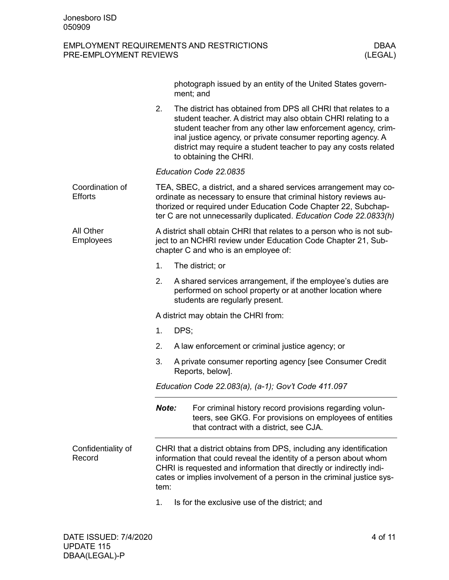|                                   | photograph issued by an entity of the United States govern-<br>ment; and                                                                                                                                                                                                                                                                                           |  |  |  |
|-----------------------------------|--------------------------------------------------------------------------------------------------------------------------------------------------------------------------------------------------------------------------------------------------------------------------------------------------------------------------------------------------------------------|--|--|--|
|                                   | 2.<br>The district has obtained from DPS all CHRI that relates to a<br>student teacher. A district may also obtain CHRI relating to a<br>student teacher from any other law enforcement agency, crim-<br>inal justice agency, or private consumer reporting agency. A<br>district may require a student teacher to pay any costs related<br>to obtaining the CHRI. |  |  |  |
|                                   | Education Code 22.0835                                                                                                                                                                                                                                                                                                                                             |  |  |  |
| Coordination of<br><b>Efforts</b> | TEA, SBEC, a district, and a shared services arrangement may co-<br>ordinate as necessary to ensure that criminal history reviews au-<br>thorized or required under Education Code Chapter 22, Subchap-<br>ter C are not unnecessarily duplicated. Education Code 22.0833(h)                                                                                       |  |  |  |
| All Other<br><b>Employees</b>     | A district shall obtain CHRI that relates to a person who is not sub-<br>ject to an NCHRI review under Education Code Chapter 21, Sub-<br>chapter C and who is an employee of:                                                                                                                                                                                     |  |  |  |
|                                   | 1.<br>The district; or                                                                                                                                                                                                                                                                                                                                             |  |  |  |
|                                   | 2.<br>A shared services arrangement, if the employee's duties are<br>performed on school property or at another location where<br>students are regularly present.                                                                                                                                                                                                  |  |  |  |
|                                   | A district may obtain the CHRI from:                                                                                                                                                                                                                                                                                                                               |  |  |  |
|                                   | DPS;<br>1.                                                                                                                                                                                                                                                                                                                                                         |  |  |  |
|                                   | 2.<br>A law enforcement or criminal justice agency; or                                                                                                                                                                                                                                                                                                             |  |  |  |
|                                   | 3.<br>A private consumer reporting agency [see Consumer Credit<br>Reports, below].                                                                                                                                                                                                                                                                                 |  |  |  |
|                                   | Education Code 22.083(a), (a-1); Gov't Code 411.097                                                                                                                                                                                                                                                                                                                |  |  |  |
|                                   | <b>Note:</b> For criminal history record provisions regarding volun-<br>teers, see GKG. For provisions on employees of entities<br>that contract with a district, see CJA.                                                                                                                                                                                         |  |  |  |
| Confidentiality of<br>Record      | CHRI that a district obtains from DPS, including any identification<br>information that could reveal the identity of a person about whom<br>CHRI is requested and information that directly or indirectly indi-<br>cates or implies involvement of a person in the criminal justice sys-<br>tem:                                                                   |  |  |  |
|                                   | Is for the exclusive use of the district; and<br>1.                                                                                                                                                                                                                                                                                                                |  |  |  |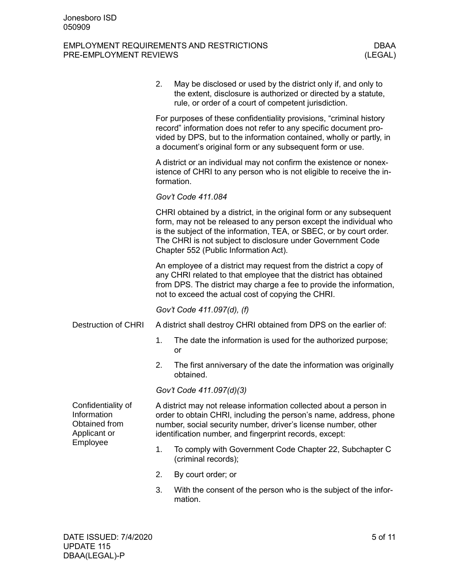|                                                                                | 2.                                                                                                                                                                                                                                                                                                                      | May be disclosed or used by the district only if, and only to<br>the extent, disclosure is authorized or directed by a statute,<br>rule, or order of a court of competent jurisdiction. |  |  |  |  |
|--------------------------------------------------------------------------------|-------------------------------------------------------------------------------------------------------------------------------------------------------------------------------------------------------------------------------------------------------------------------------------------------------------------------|-----------------------------------------------------------------------------------------------------------------------------------------------------------------------------------------|--|--|--|--|
|                                                                                | For purposes of these confidentiality provisions, "criminal history<br>record" information does not refer to any specific document pro-<br>vided by DPS, but to the information contained, wholly or partly, in<br>a document's original form or any subsequent form or use.                                            |                                                                                                                                                                                         |  |  |  |  |
|                                                                                | A district or an individual may not confirm the existence or nonex-<br>istence of CHRI to any person who is not eligible to receive the in-<br>formation.                                                                                                                                                               |                                                                                                                                                                                         |  |  |  |  |
|                                                                                | Gov't Code 411.084                                                                                                                                                                                                                                                                                                      |                                                                                                                                                                                         |  |  |  |  |
|                                                                                | CHRI obtained by a district, in the original form or any subsequent<br>form, may not be released to any person except the individual who<br>is the subject of the information, TEA, or SBEC, or by court order.<br>The CHRI is not subject to disclosure under Government Code<br>Chapter 552 (Public Information Act). |                                                                                                                                                                                         |  |  |  |  |
|                                                                                | An employee of a district may request from the district a copy of<br>any CHRI related to that employee that the district has obtained<br>from DPS. The district may charge a fee to provide the information,<br>not to exceed the actual cost of copying the CHRI.                                                      |                                                                                                                                                                                         |  |  |  |  |
|                                                                                |                                                                                                                                                                                                                                                                                                                         | Gov't Code 411.097(d), (f)                                                                                                                                                              |  |  |  |  |
| <b>Destruction of CHRI</b>                                                     | A district shall destroy CHRI obtained from DPS on the earlier of:                                                                                                                                                                                                                                                      |                                                                                                                                                                                         |  |  |  |  |
|                                                                                | 1.                                                                                                                                                                                                                                                                                                                      | The date the information is used for the authorized purpose;<br>or                                                                                                                      |  |  |  |  |
|                                                                                | 2.                                                                                                                                                                                                                                                                                                                      | The first anniversary of the date the information was originally<br>obtained.                                                                                                           |  |  |  |  |
|                                                                                |                                                                                                                                                                                                                                                                                                                         | Gov't Code 411.097(d)(3)                                                                                                                                                                |  |  |  |  |
| Confidentiality of<br>Information<br>Obtained from<br>Applicant or<br>Employee | A district may not release information collected about a person in<br>order to obtain CHRI, including the person's name, address, phone<br>number, social security number, driver's license number, other<br>identification number, and fingerprint records, except:                                                    |                                                                                                                                                                                         |  |  |  |  |
|                                                                                | 1.                                                                                                                                                                                                                                                                                                                      | To comply with Government Code Chapter 22, Subchapter C<br>(criminal records);                                                                                                          |  |  |  |  |
|                                                                                | 2.                                                                                                                                                                                                                                                                                                                      | By court order; or                                                                                                                                                                      |  |  |  |  |
|                                                                                | 3.                                                                                                                                                                                                                                                                                                                      | With the consent of the person who is the subject of the infor-<br>mation.                                                                                                              |  |  |  |  |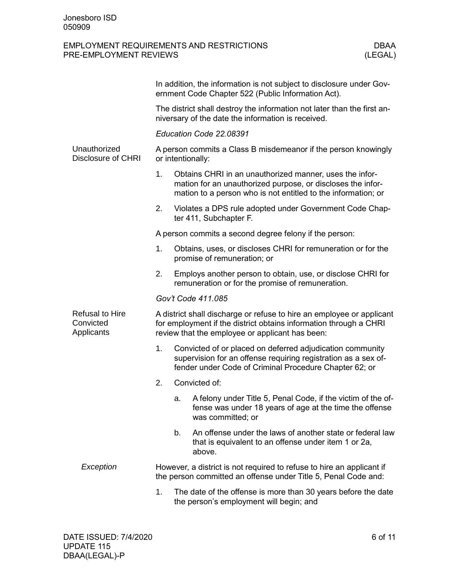|                                                   |                                                                                                                                                                                               |    | In addition, the information is not subject to disclosure under Gov-<br>ernment Code Chapter 522 (Public Information Act).                                                              |  |
|---------------------------------------------------|-----------------------------------------------------------------------------------------------------------------------------------------------------------------------------------------------|----|-----------------------------------------------------------------------------------------------------------------------------------------------------------------------------------------|--|
|                                                   | The district shall destroy the information not later than the first an-<br>niversary of the date the information is received.                                                                 |    |                                                                                                                                                                                         |  |
|                                                   |                                                                                                                                                                                               |    | Education Code 22.08391                                                                                                                                                                 |  |
| Unauthorized<br>Disclosure of CHRI                | A person commits a Class B misdemeanor if the person knowingly<br>or intentionally:                                                                                                           |    |                                                                                                                                                                                         |  |
|                                                   | 1.                                                                                                                                                                                            |    | Obtains CHRI in an unauthorized manner, uses the infor-<br>mation for an unauthorized purpose, or discloses the infor-<br>mation to a person who is not entitled to the information; or |  |
|                                                   | 2.                                                                                                                                                                                            |    | Violates a DPS rule adopted under Government Code Chap-<br>ter 411, Subchapter F.                                                                                                       |  |
|                                                   |                                                                                                                                                                                               |    | A person commits a second degree felony if the person:                                                                                                                                  |  |
|                                                   | 1.                                                                                                                                                                                            |    | Obtains, uses, or discloses CHRI for remuneration or for the<br>promise of remuneration; or                                                                                             |  |
|                                                   | 2.                                                                                                                                                                                            |    | Employs another person to obtain, use, or disclose CHRI for<br>remuneration or for the promise of remuneration.                                                                         |  |
|                                                   |                                                                                                                                                                                               |    | Gov't Code 411.085                                                                                                                                                                      |  |
| <b>Refusal to Hire</b><br>Convicted<br>Applicants | A district shall discharge or refuse to hire an employee or applicant<br>for employment if the district obtains information through a CHRI<br>review that the employee or applicant has been: |    |                                                                                                                                                                                         |  |
|                                                   | 1.                                                                                                                                                                                            |    | Convicted of or placed on deferred adjudication community<br>supervision for an offense requiring registration as a sex of-<br>fender under Code of Criminal Procedure Chapter 62; or   |  |
|                                                   | 2.                                                                                                                                                                                            |    | Convicted of:                                                                                                                                                                           |  |
|                                                   |                                                                                                                                                                                               | a. | A felony under Title 5, Penal Code, if the victim of the of-<br>fense was under 18 years of age at the time the offense<br>was committed; or                                            |  |
|                                                   |                                                                                                                                                                                               | b. | An offense under the laws of another state or federal law<br>that is equivalent to an offense under item 1 or 2a,<br>above.                                                             |  |
| Exception                                         | However, a district is not required to refuse to hire an applicant if<br>the person committed an offense under Title 5, Penal Code and:                                                       |    |                                                                                                                                                                                         |  |
|                                                   | 1.                                                                                                                                                                                            |    | The date of the offense is more than 30 years before the date<br>the person's employment will begin; and                                                                                |  |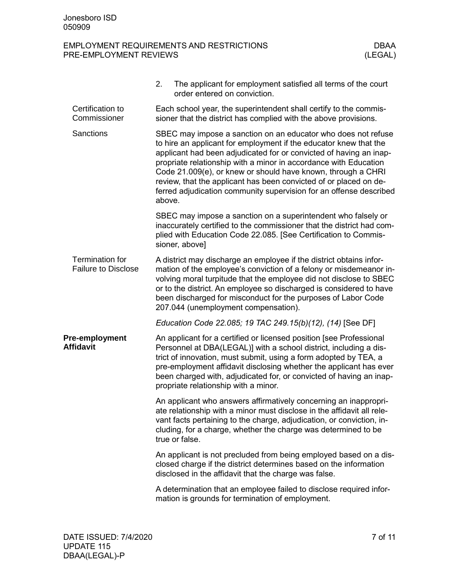|                                                      | The applicant for employment satisfied all terms of the court<br>2.<br>order entered on conviction.                                                                                                                                                                                                                                                                                                                                                                                               |
|------------------------------------------------------|---------------------------------------------------------------------------------------------------------------------------------------------------------------------------------------------------------------------------------------------------------------------------------------------------------------------------------------------------------------------------------------------------------------------------------------------------------------------------------------------------|
| Certification to<br>Commissioner                     | Each school year, the superintendent shall certify to the commis-<br>sioner that the district has complied with the above provisions.                                                                                                                                                                                                                                                                                                                                                             |
| Sanctions                                            | SBEC may impose a sanction on an educator who does not refuse<br>to hire an applicant for employment if the educator knew that the<br>applicant had been adjudicated for or convicted of having an inap-<br>propriate relationship with a minor in accordance with Education<br>Code 21.009(e), or knew or should have known, through a CHRI<br>review, that the applicant has been convicted of or placed on de-<br>ferred adjudication community supervision for an offense described<br>above. |
|                                                      | SBEC may impose a sanction on a superintendent who falsely or<br>inaccurately certified to the commissioner that the district had com-<br>plied with Education Code 22.085. [See Certification to Commis-<br>sioner, above]                                                                                                                                                                                                                                                                       |
| <b>Termination for</b><br><b>Failure to Disclose</b> | A district may discharge an employee if the district obtains infor-<br>mation of the employee's conviction of a felony or misdemeanor in-<br>volving moral turpitude that the employee did not disclose to SBEC<br>or to the district. An employee so discharged is considered to have<br>been discharged for misconduct for the purposes of Labor Code<br>207.044 (unemployment compensation).                                                                                                   |
|                                                      | Education Code 22.085; 19 TAC 249.15(b)(12), (14) [See DF]                                                                                                                                                                                                                                                                                                                                                                                                                                        |
| Pre-employment<br><b>Affidavit</b>                   | An applicant for a certified or licensed position [see Professional<br>Personnel at DBA(LEGAL)] with a school district, including a dis-<br>trict of innovation, must submit, using a form adopted by TEA, a<br>pre-employment affidavit disclosing whether the applicant has ever<br>been charged with, adjudicated for, or convicted of having an inap-<br>propriate relationship with a minor.                                                                                                 |
|                                                      | An applicant who answers affirmatively concerning an inappropri-<br>ate relationship with a minor must disclose in the affidavit all rele-<br>vant facts pertaining to the charge, adjudication, or conviction, in-<br>cluding, for a charge, whether the charge was determined to be<br>true or false.                                                                                                                                                                                           |
|                                                      | An applicant is not precluded from being employed based on a dis-<br>closed charge if the district determines based on the information<br>disclosed in the affidavit that the charge was false.                                                                                                                                                                                                                                                                                                   |
|                                                      | A determination that an employee failed to disclose required infor-<br>mation is grounds for termination of employment.                                                                                                                                                                                                                                                                                                                                                                           |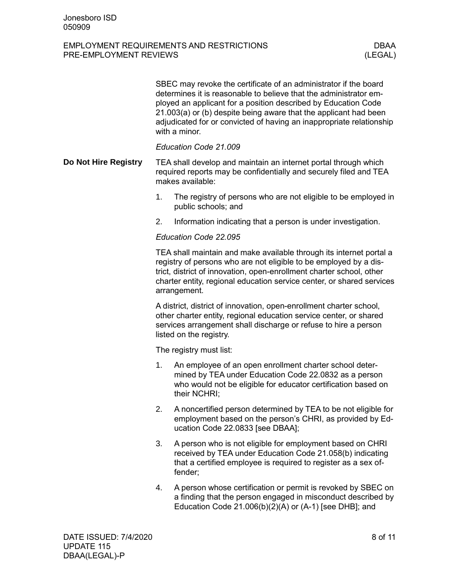|                      |                                                                                                                                                                                                                                         | SBEC may revoke the certificate of an administrator if the board<br>determines it is reasonable to believe that the administrator em-<br>ployed an applicant for a position described by Education Code<br>21.003(a) or (b) despite being aware that the applicant had been<br>adjudicated for or convicted of having an inappropriate relationship<br>with a minor. |  |  |
|----------------------|-----------------------------------------------------------------------------------------------------------------------------------------------------------------------------------------------------------------------------------------|----------------------------------------------------------------------------------------------------------------------------------------------------------------------------------------------------------------------------------------------------------------------------------------------------------------------------------------------------------------------|--|--|
|                      |                                                                                                                                                                                                                                         | Education Code 21.009                                                                                                                                                                                                                                                                                                                                                |  |  |
| Do Not Hire Registry | TEA shall develop and maintain an internet portal through which<br>required reports may be confidentially and securely filed and TEA<br>makes available:                                                                                |                                                                                                                                                                                                                                                                                                                                                                      |  |  |
|                      | 1.                                                                                                                                                                                                                                      | The registry of persons who are not eligible to be employed in<br>public schools; and                                                                                                                                                                                                                                                                                |  |  |
|                      | 2.                                                                                                                                                                                                                                      | Information indicating that a person is under investigation.                                                                                                                                                                                                                                                                                                         |  |  |
|                      |                                                                                                                                                                                                                                         | Education Code 22.095                                                                                                                                                                                                                                                                                                                                                |  |  |
|                      |                                                                                                                                                                                                                                         | TEA shall maintain and make available through its internet portal a<br>registry of persons who are not eligible to be employed by a dis-<br>trict, district of innovation, open-enrollment charter school, other<br>charter entity, regional education service center, or shared services<br>arrangement.                                                            |  |  |
|                      | A district, district of innovation, open-enrollment charter school,<br>other charter entity, regional education service center, or shared<br>services arrangement shall discharge or refuse to hire a person<br>listed on the registry. |                                                                                                                                                                                                                                                                                                                                                                      |  |  |
|                      | The registry must list:                                                                                                                                                                                                                 |                                                                                                                                                                                                                                                                                                                                                                      |  |  |
|                      | 1.                                                                                                                                                                                                                                      | An employee of an open enrollment charter school deter-<br>mined by TEA under Education Code 22.0832 as a person<br>who would not be eligible for educator certification based on<br>their NCHRI;                                                                                                                                                                    |  |  |
|                      | 2.                                                                                                                                                                                                                                      | A noncertified person determined by TEA to be not eligible for<br>employment based on the person's CHRI, as provided by Ed-<br>ucation Code 22.0833 [see DBAA];                                                                                                                                                                                                      |  |  |
|                      | 3.                                                                                                                                                                                                                                      | A person who is not eligible for employment based on CHRI<br>received by TEA under Education Code 21.058(b) indicating<br>that a certified employee is required to register as a sex of-<br>fender;                                                                                                                                                                  |  |  |
|                      | 4.                                                                                                                                                                                                                                      | A person whose certification or permit is revoked by SBEC on<br>a finding that the person engaged in misconduct described by<br>Education Code 21.006(b)(2)(A) or (A-1) [see DHB]; and                                                                                                                                                                               |  |  |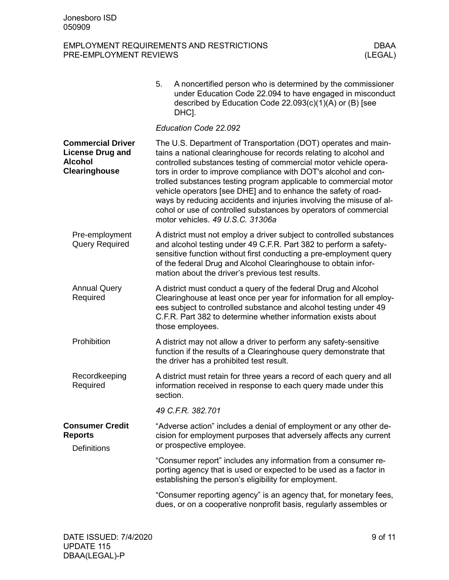|                                                                                               | 5.       | A noncertified person who is determined by the commissioner<br>under Education Code 22.094 to have engaged in misconduct<br>described by Education Code 22.093(c)(1)(A) or (B) [see<br>DHC <sub>I</sub> .                                                                                                                                                                                                                                                                                                                                                                                         |  |  |  |  |  |
|-----------------------------------------------------------------------------------------------|----------|---------------------------------------------------------------------------------------------------------------------------------------------------------------------------------------------------------------------------------------------------------------------------------------------------------------------------------------------------------------------------------------------------------------------------------------------------------------------------------------------------------------------------------------------------------------------------------------------------|--|--|--|--|--|
|                                                                                               |          | Education Code 22.092                                                                                                                                                                                                                                                                                                                                                                                                                                                                                                                                                                             |  |  |  |  |  |
| <b>Commercial Driver</b><br><b>License Drug and</b><br><b>Alcohol</b><br><b>Clearinghouse</b> |          | The U.S. Department of Transportation (DOT) operates and main-<br>tains a national clearinghouse for records relating to alcohol and<br>controlled substances testing of commercial motor vehicle opera-<br>tors in order to improve compliance with DOT's alcohol and con-<br>trolled substances testing program applicable to commercial motor<br>vehicle operators [see DHE] and to enhance the safety of road-<br>ways by reducing accidents and injuries involving the misuse of al-<br>cohol or use of controlled substances by operators of commercial<br>motor vehicles, 49 U.S.C. 31306a |  |  |  |  |  |
| Pre-employment<br><b>Query Required</b>                                                       |          | A district must not employ a driver subject to controlled substances<br>and alcohol testing under 49 C.F.R. Part 382 to perform a safety-<br>sensitive function without first conducting a pre-employment query<br>of the federal Drug and Alcohol Clearinghouse to obtain infor-<br>mation about the driver's previous test results.                                                                                                                                                                                                                                                             |  |  |  |  |  |
| <b>Annual Query</b><br>Required                                                               |          | A district must conduct a query of the federal Drug and Alcohol<br>Clearinghouse at least once per year for information for all employ-<br>ees subject to controlled substance and alcohol testing under 49<br>C.F.R. Part 382 to determine whether information exists about<br>those employees.                                                                                                                                                                                                                                                                                                  |  |  |  |  |  |
| Prohibition                                                                                   |          | A district may not allow a driver to perform any safety-sensitive<br>function if the results of a Clearinghouse query demonstrate that<br>the driver has a prohibited test result.                                                                                                                                                                                                                                                                                                                                                                                                                |  |  |  |  |  |
| Recordkeeping<br>Required                                                                     | section. | A district must retain for three years a record of each query and all<br>information received in response to each query made under this                                                                                                                                                                                                                                                                                                                                                                                                                                                           |  |  |  |  |  |
|                                                                                               |          | 49 C.F.R. 382.701                                                                                                                                                                                                                                                                                                                                                                                                                                                                                                                                                                                 |  |  |  |  |  |
| <b>Consumer Credit</b><br><b>Reports</b><br><b>Definitions</b>                                |          | "Adverse action" includes a denial of employment or any other de-<br>cision for employment purposes that adversely affects any current<br>or prospective employee.                                                                                                                                                                                                                                                                                                                                                                                                                                |  |  |  |  |  |
|                                                                                               |          | "Consumer report" includes any information from a consumer re-<br>porting agency that is used or expected to be used as a factor in<br>establishing the person's eligibility for employment.                                                                                                                                                                                                                                                                                                                                                                                                      |  |  |  |  |  |
|                                                                                               |          | "Consumer reporting agency" is an agency that, for monetary fees,<br>dues, or on a cooperative nonprofit basis, regularly assembles or                                                                                                                                                                                                                                                                                                                                                                                                                                                            |  |  |  |  |  |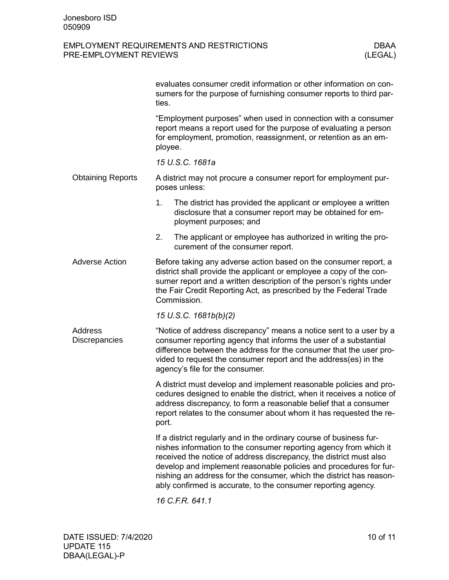|                                 | evaluates consumer credit information or other information on con-<br>sumers for the purpose of furnishing consumer reports to third par-<br>ties.                                                                                                                                                                                                                                                                          |
|---------------------------------|-----------------------------------------------------------------------------------------------------------------------------------------------------------------------------------------------------------------------------------------------------------------------------------------------------------------------------------------------------------------------------------------------------------------------------|
|                                 | "Employment purposes" when used in connection with a consumer<br>report means a report used for the purpose of evaluating a person<br>for employment, promotion, reassignment, or retention as an em-<br>ployee.                                                                                                                                                                                                            |
|                                 | 15 U.S.C. 1681a                                                                                                                                                                                                                                                                                                                                                                                                             |
| <b>Obtaining Reports</b>        | A district may not procure a consumer report for employment pur-<br>poses unless:                                                                                                                                                                                                                                                                                                                                           |
|                                 | The district has provided the applicant or employee a written<br>1.<br>disclosure that a consumer report may be obtained for em-<br>ployment purposes; and                                                                                                                                                                                                                                                                  |
|                                 | 2.<br>The applicant or employee has authorized in writing the pro-<br>curement of the consumer report.                                                                                                                                                                                                                                                                                                                      |
| <b>Adverse Action</b>           | Before taking any adverse action based on the consumer report, a<br>district shall provide the applicant or employee a copy of the con-<br>sumer report and a written description of the person's rights under<br>the Fair Credit Reporting Act, as prescribed by the Federal Trade<br>Commission.                                                                                                                          |
|                                 | 15 U.S.C. 1681b(b)(2)                                                                                                                                                                                                                                                                                                                                                                                                       |
| Address<br><b>Discrepancies</b> | "Notice of address discrepancy" means a notice sent to a user by a<br>consumer reporting agency that informs the user of a substantial<br>difference between the address for the consumer that the user pro-<br>vided to request the consumer report and the address(es) in the<br>agency's file for the consumer.                                                                                                          |
|                                 | A district must develop and implement reasonable policies and pro-<br>cedures designed to enable the district, when it receives a notice of<br>address discrepancy, to form a reasonable belief that a consumer<br>report relates to the consumer about whom it has requested the re-<br>port.                                                                                                                              |
|                                 | If a district regularly and in the ordinary course of business fur-<br>nishes information to the consumer reporting agency from which it<br>received the notice of address discrepancy, the district must also<br>develop and implement reasonable policies and procedures for fur-<br>nishing an address for the consumer, which the district has reason-<br>ably confirmed is accurate, to the consumer reporting agency. |

*16 C.F.R. 641.1*